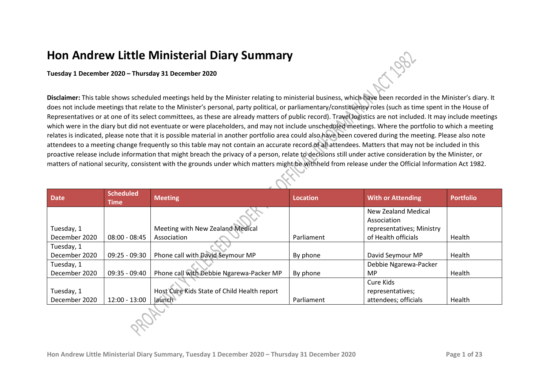## **Hon Andrew Little Ministerial Diary Summary**

## **Tuesday 1 December 2020 – Thursday 31 December 2020**

**Disclaimer:** This table shows scheduled meetings held by the Minister relating to ministerial business, which have been recorded in the Minister's diary. It does not include meetings that relate to the Minister's personal, party political, or parliamentary/constituency roles (such as time spent in the House of Representatives or at one of its select committees, as these are already matters of public record). Travel logistics are not included. It may include meetings which were in the diary but did not eventuate or were placeholders, and may not include unscheduled meetings. Where the portfolio to which a meeting relates is indicated, please note that it is possible material in another portfolio area could also have been covered during the meeting. Please also note attendees to a meeting change frequently so this table may not contain an accurate record of all attendees. Matters that may not be included in this proactive release include information that might breach the privacy of a person, relate to decisions still under active consideration by the Minister, or matters of national security, consistent with the grounds under which matters might be withheld from release under the Official Information Act 1982.

| <b>Date</b>   | <b>Scheduled</b><br>Time | <b>Meeting</b>                              | <b>Location</b> | <b>With or Attending</b>                 | <b>Portfolio</b> |
|---------------|--------------------------|---------------------------------------------|-----------------|------------------------------------------|------------------|
|               |                          |                                             |                 | <b>New Zealand Medical</b>               |                  |
| Tuesday, 1    |                          | Meeting with New Zealand Medical            |                 | Association<br>representatives; Ministry |                  |
| December 2020 | $08:00 - 08:45$          | Association                                 | Parliament      | of Health officials                      | Health           |
| Tuesday, 1    |                          |                                             |                 |                                          |                  |
| December 2020 | $09:25 - 09:30$          | Phone call with David Seymour MP            | By phone        | David Seymour MP                         | Health           |
| Tuesday, 1    |                          |                                             |                 | Debbie Ngarewa-Packer                    |                  |
| December 2020 | 09:35 - 09:40            | Phone call with Debbie Ngarewa-Packer MP    | By phone        | <b>MP</b>                                | Health           |
|               |                          |                                             |                 | Cure Kids                                |                  |
| Tuesday, 1    |                          | Host Cure Kids State of Child Health report |                 | representatives;                         |                  |
| December 2020 | 12:00 - 13:00            | launch                                      | Parliament      | attendees; officials                     | Health           |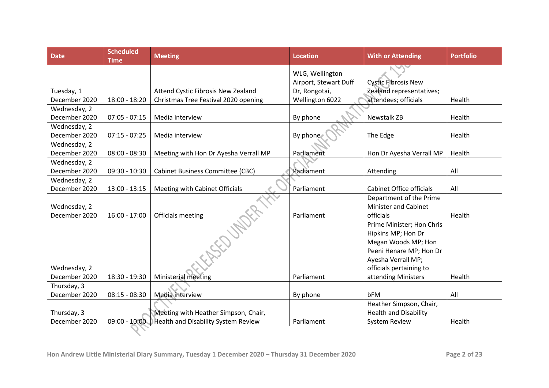| <b>Date</b>   | <b>Scheduled</b><br><b>Time</b> | <b>Meeting</b>                             | <b>Location</b>       | <b>With or Attending</b>     | <b>Portfolio</b> |
|---------------|---------------------------------|--------------------------------------------|-----------------------|------------------------------|------------------|
|               |                                 |                                            | WLG, Wellington       |                              |                  |
|               |                                 |                                            | Airport, Stewart Duff | <b>Cystic Fibrosis New</b>   |                  |
| Tuesday, 1    |                                 | Attend Cystic Fibrosis New Zealand         | Dr, Rongotai,         | Zealand representatives;     |                  |
| December 2020 | $18:00 - 18:20$                 | Christmas Tree Festival 2020 opening       | Wellington 6022       | attendees; officials         | Health           |
| Wednesday, 2  |                                 |                                            |                       |                              |                  |
| December 2020 | $07:05 - 07:15$                 | Media interview                            | By phone              | <b>Newstalk ZB</b>           | Health           |
| Wednesday, 2  |                                 |                                            |                       |                              |                  |
| December 2020 | $07:15 - 07:25$                 | Media interview                            | By phone              | The Edge                     | Health           |
| Wednesday, 2  |                                 |                                            |                       |                              |                  |
| December 2020 | $08:00 - 08:30$                 | Meeting with Hon Dr Ayesha Verrall MP      | Parliament            | Hon Dr Ayesha Verrall MP     | Health           |
| Wednesday, 2  |                                 |                                            |                       |                              |                  |
| December 2020 | $09:30 - 10:30$                 | <b>Cabinet Business Committee (CBC)</b>    | Parliament            | Attending                    | All              |
| Wednesday, 2  |                                 |                                            |                       |                              |                  |
| December 2020 | $13:00 - 13:15$                 | Meeting with Cabinet Officials             | Parliament            | Cabinet Office officials     | All              |
|               |                                 |                                            |                       | Department of the Prime      |                  |
| Wednesday, 2  |                                 |                                            |                       | <b>Minister and Cabinet</b>  |                  |
| December 2020 | $16:00 - 17:00$                 | Officials meeting                          | Parliament            | officials                    | Health           |
|               |                                 |                                            |                       | Prime Minister; Hon Chris    |                  |
|               |                                 |                                            |                       | Hipkins MP; Hon Dr           |                  |
|               |                                 |                                            |                       | Megan Woods MP; Hon          |                  |
|               |                                 |                                            |                       | Peeni Henare MP; Hon Dr      |                  |
|               |                                 |                                            |                       | Ayesha Verrall MP;           |                  |
| Wednesday, 2  |                                 |                                            |                       | officials pertaining to      |                  |
| December 2020 | 18:30 - 19:30                   | Ministerial meeting                        | Parliament            | attending Ministers          | Health           |
| Thursday, 3   |                                 |                                            |                       |                              |                  |
| December 2020 | $08:15 - 08:30$                 | Media interview                            | By phone              | bFM                          | All              |
|               |                                 |                                            |                       | Heather Simpson, Chair,      |                  |
| Thursday, 3   |                                 | Meeting with Heather Simpson, Chair,       |                       | <b>Health and Disability</b> |                  |
| December 2020 | $09:00 - 10:00$                 | <b>Health and Disability System Review</b> | Parliament            | <b>System Review</b>         | Health           |
|               |                                 |                                            |                       |                              |                  |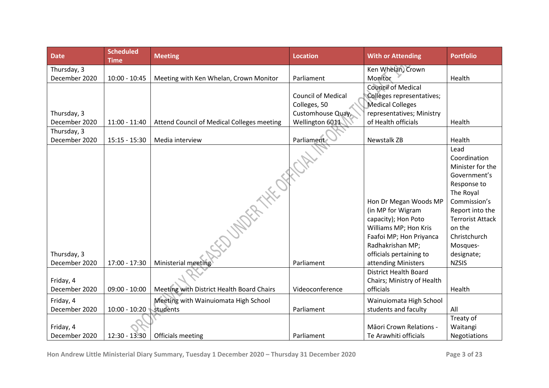| <b>Date</b>   | <b>Scheduled</b><br><b>Time</b> | <b>Meeting</b>                             | <b>Location</b>           | <b>With or Attending</b>     | <b>Portfolio</b>        |
|---------------|---------------------------------|--------------------------------------------|---------------------------|------------------------------|-------------------------|
| Thursday, 3   |                                 |                                            |                           | Ken Whelan, Crown            |                         |
| December 2020 | $10:00 - 10:45$                 | Meeting with Ken Whelan, Crown Monitor     | Parliament                | Monitor                      | Health                  |
|               |                                 |                                            |                           | <b>Council of Medical</b>    |                         |
|               |                                 |                                            | <b>Council of Medical</b> | Colleges representatives;    |                         |
|               |                                 |                                            | Colleges, 50              | <b>Medical Colleges</b>      |                         |
| Thursday, 3   |                                 |                                            | Customhouse Quay,         | representatives; Ministry    |                         |
| December 2020 | $11:00 - 11:40$                 | Attend Council of Medical Colleges meeting | Wellington 6011           | of Health officials          | Health                  |
| Thursday, 3   |                                 |                                            |                           |                              |                         |
| December 2020 | $15:15 - 15:30$                 | Media interview                            | Parliament                | <b>Newstalk ZB</b>           | Health                  |
|               |                                 | SEDUNDER HA OFFICIAL                       |                           |                              | Lead                    |
|               |                                 |                                            |                           |                              | Coordination            |
|               |                                 |                                            |                           |                              | Minister for the        |
|               |                                 |                                            |                           |                              | Government's            |
|               |                                 |                                            |                           |                              | Response to             |
|               |                                 |                                            |                           |                              | The Royal               |
|               |                                 |                                            |                           | Hon Dr Megan Woods MP        | Commission's            |
|               |                                 |                                            |                           | (in MP for Wigram            | Report into the         |
|               |                                 |                                            |                           | capacity); Hon Poto          | <b>Terrorist Attack</b> |
|               |                                 |                                            |                           | Williams MP; Hon Kris        | on the                  |
|               |                                 |                                            |                           | Faafoi MP; Hon Priyanca      | Christchurch            |
|               |                                 |                                            |                           | Radhakrishan MP;             | Mosques-                |
| Thursday, 3   |                                 |                                            |                           | officials pertaining to      | designate;              |
| December 2020 | 17:00 - 17:30                   | Ministerial meeting                        | Parliament                | attending Ministers          | <b>NZSIS</b>            |
|               |                                 |                                            |                           | <b>District Health Board</b> |                         |
| Friday, 4     |                                 |                                            |                           | Chairs; Ministry of Health   |                         |
| December 2020 | $09:00 - 10:00$                 | Meeting with District Health Board Chairs  | Videoconference           | officials                    | Health                  |
| Friday, 4     |                                 | Meeting with Wainuiomata High School       |                           | Wainuiomata High School      |                         |
| December 2020 | $10:00 - 10:20$                 | students                                   | Parliament                | students and faculty         | All                     |
|               |                                 |                                            |                           |                              | Treaty of               |
| Friday, 4     |                                 |                                            |                           | Māori Crown Relations -      | Waitangi                |
| December 2020 | 12:30 - 13:30                   | Officials meeting                          | Parliament                | Te Arawhiti officials        | Negotiations            |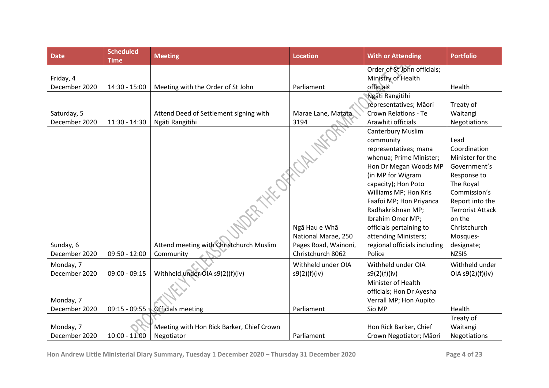| <b>Date</b>   | <b>Scheduled</b><br><b>Time</b> | <b>Meeting</b>                            | <b>Location</b>      | <b>With or Attending</b>     | <b>Portfolio</b>        |
|---------------|---------------------------------|-------------------------------------------|----------------------|------------------------------|-------------------------|
|               |                                 |                                           |                      | Order of St John officials;  |                         |
| Friday, 4     |                                 |                                           |                      | Ministry of Health           |                         |
| December 2020 | 14:30 - 15:00                   | Meeting with the Order of St John         | Parliament           | officials                    | Health                  |
|               |                                 |                                           |                      | Ngāti Rangitihi              |                         |
|               |                                 |                                           |                      | representatives; Māori       | Treaty of               |
| Saturday, 5   |                                 | Attend Deed of Settlement signing with    | Marae Lane, Matata   | <b>Crown Relations - Te</b>  | Waitangi                |
| December 2020 | $11:30 - 14:30$                 | Ngāti Rangitihi                           | 3194                 | Arawhiti officials           | Negotiations            |
|               |                                 |                                           |                      | <b>Canterbury Muslim</b>     |                         |
|               |                                 |                                           |                      | community                    | Lead                    |
|               |                                 |                                           |                      | representatives; mana        | Coordination            |
|               |                                 |                                           |                      | whenua; Prime Minister;      | Minister for the        |
|               |                                 |                                           |                      | Hon Dr Megan Woods MP        | Government's            |
|               |                                 | <b>ROCKHAMERIAN</b>                       |                      | (in MP for Wigram            | Response to             |
|               |                                 |                                           |                      | capacity); Hon Poto          | The Royal               |
|               |                                 |                                           |                      | Williams MP; Hon Kris        | Commission's            |
|               |                                 |                                           |                      | Faafoi MP; Hon Priyanca      | Report into the         |
|               |                                 |                                           |                      | Radhakrishnan MP;            | <b>Terrorist Attack</b> |
|               |                                 |                                           |                      | Ibrahim Omer MP;             | on the                  |
|               |                                 |                                           | Ngā Hau e Whā        | officials pertaining to      | Christchurch            |
|               |                                 |                                           | National Marae, 250  | attending Ministers;         | Mosques-                |
| Sunday, 6     |                                 | Attend meeting with Christchurch Muslim   | Pages Road, Wainoni, | regional officials including | designate;              |
| December 2020 | $09:50 - 12:00$                 | Community                                 | Christchurch 8062    | Police                       | <b>NZSIS</b>            |
| Monday, 7     |                                 |                                           | Withheld under OIA   | Withheld under OIA           | Withheld under          |
| December 2020 | $09:00 - 09:15$                 | Withheld under OIA s9(2)(f)(iv)           | s9(2)(f)(iv)         | s9(2)(f)(iv)                 | OIA S9(2)(f)(iv)        |
|               |                                 |                                           |                      | Minister of Health           |                         |
|               |                                 |                                           |                      | officials; Hon Dr Ayesha     |                         |
| Monday, 7     |                                 |                                           |                      | Verrall MP; Hon Aupito       |                         |
| December 2020 | $09:15 - 09:55$                 | <b>Officials</b> meeting                  | Parliament           | Sio MP                       | Health                  |
|               |                                 |                                           |                      |                              | Treaty of               |
| Monday, 7     |                                 | Meeting with Hon Rick Barker, Chief Crown |                      | Hon Rick Barker, Chief       | Waitangi                |
| December 2020 | $10:00 - 11:00$                 | Negotiator                                | Parliament           | Crown Negotiator; Māori      | Negotiations            |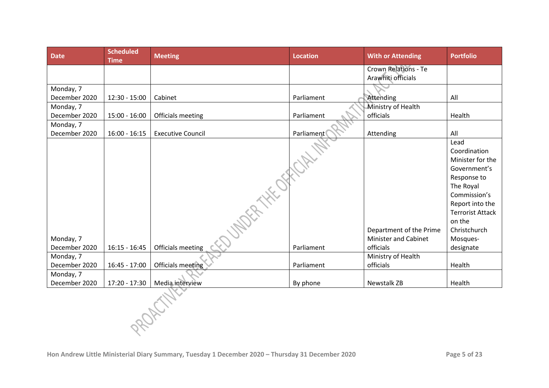| <b>Date</b>   | <b>Scheduled</b><br><b>Time</b> | <b>Meeting</b>             | <b>Location</b> | <b>With or Attending</b>                          | <b>Portfolio</b>                 |
|---------------|---------------------------------|----------------------------|-----------------|---------------------------------------------------|----------------------------------|
|               |                                 |                            |                 | <b>Crown Relations - Te</b><br>Arawhiti officials |                                  |
|               |                                 |                            |                 |                                                   |                                  |
| Monday, 7     |                                 |                            |                 |                                                   |                                  |
| December 2020 | $12:30 - 15:00$                 | Cabinet                    | Parliament      | Attending                                         | All                              |
| Monday, 7     |                                 |                            |                 | Ministry of Health                                |                                  |
| December 2020 | $15:00 - 16:00$                 | Officials meeting          | Parliament      | officials                                         | Health                           |
| Monday, 7     |                                 |                            |                 |                                                   |                                  |
| December 2020 | $16:00 - 16:15$                 | <b>Executive Council</b>   | Parliament      | Attending                                         | All                              |
|               |                                 |                            |                 |                                                   | Lead                             |
|               |                                 |                            |                 |                                                   | Coordination                     |
|               |                                 |                            |                 |                                                   | Minister for the<br>Government's |
|               |                                 |                            |                 |                                                   | Response to                      |
|               |                                 |                            |                 |                                                   | The Royal                        |
|               |                                 |                            |                 |                                                   | Commission's                     |
|               |                                 |                            |                 |                                                   | Report into the                  |
|               |                                 | <b>JADER THE OFFICITY!</b> |                 |                                                   | <b>Terrorist Attack</b>          |
|               |                                 |                            |                 |                                                   | on the                           |
|               |                                 |                            |                 | Department of the Prime                           | Christchurch                     |
| Monday, 7     |                                 |                            |                 | <b>Minister and Cabinet</b>                       | Mosques-                         |
| December 2020 | $16:15 - 16:45$                 | Officials meeting          | Parliament      | officials                                         | designate                        |
| Monday, 7     |                                 |                            |                 | Ministry of Health                                |                                  |
| December 2020 | $16:45 - 17:00$                 | <b>Officials meeting</b>   | Parliament      | officials                                         | Health                           |
| Monday, 7     |                                 |                            |                 |                                                   |                                  |
| December 2020 | 17:20 - 17:30                   | Media interview            | By phone        | Newstalk ZB                                       | Health                           |
|               |                                 |                            |                 |                                                   |                                  |
|               |                                 |                            |                 |                                                   |                                  |
|               |                                 |                            |                 |                                                   |                                  |
|               |                                 |                            |                 |                                                   |                                  |
|               |                                 |                            |                 |                                                   |                                  |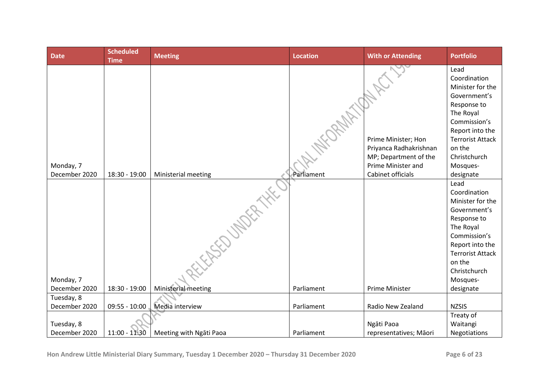| <b>Date</b>                | <b>Scheduled</b><br><b>Time</b> | <b>Meeting</b>          | <b>Location</b> | <b>With or Attending</b>                      | <b>Portfolio</b>                                                                                                                                                             |
|----------------------------|---------------------------------|-------------------------|-----------------|-----------------------------------------------|------------------------------------------------------------------------------------------------------------------------------------------------------------------------------|
|                            |                                 |                         |                 | Prime Minister; Hon<br>Priyanca Radhakrishnan | Lead<br>Coordination<br>Minister for the<br>Government's<br>Response to<br>The Royal<br>Commission's<br>Report into the<br><b>Terrorist Attack</b><br>on the                 |
| Monday, 7                  |                                 |                         |                 | MP; Department of the<br>Prime Minister and   | Christchurch<br>Mosques-                                                                                                                                                     |
| December 2020              | 18:30 - 19:00                   | Ministerial meeting     | Parliament      | Cabinet officials                             | designate                                                                                                                                                                    |
|                            |                                 | <b>FASED UNDER THAT</b> |                 |                                               | Lead<br>Coordination<br>Minister for the<br>Government's<br>Response to<br>The Royal<br>Commission's<br>Report into the<br><b>Terrorist Attack</b><br>on the<br>Christchurch |
| Monday, 7<br>December 2020 | 18:30 - 19:00                   | Ministerial meeting     | Parliament      | Prime Minister                                | Mosques-<br>designate                                                                                                                                                        |
| Tuesday, 8                 |                                 |                         |                 |                                               |                                                                                                                                                                              |
| December 2020              | $09:55 - 10:00$                 | Media interview         | Parliament      | Radio New Zealand                             | <b>NZSIS</b>                                                                                                                                                                 |
| Tuesday, 8                 |                                 |                         |                 | Ngāti Paoa                                    | Treaty of<br>Waitangi                                                                                                                                                        |
| December 2020              | 11:00 - 11:30                   | Meeting with Ngati Paoa | Parliament      | representatives; Māori                        | Negotiations                                                                                                                                                                 |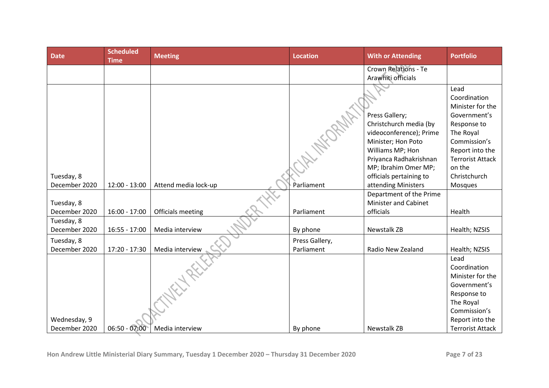| <b>Date</b>   | <b>Scheduled</b><br><b>Time</b> | <b>Meeting</b>       | <b>Location</b> | <b>With or Attending</b>                 | <b>Portfolio</b>          |
|---------------|---------------------------------|----------------------|-----------------|------------------------------------------|---------------------------|
|               |                                 |                      |                 | <b>Crown Relations - Te</b>              |                           |
|               |                                 |                      |                 | Arawhiti officials                       |                           |
|               |                                 |                      |                 |                                          | Lead                      |
|               |                                 |                      |                 |                                          | Coordination              |
|               |                                 |                      |                 |                                          | Minister for the          |
|               |                                 |                      |                 | Press Gallery;<br>Christchurch media (by | Government's              |
|               |                                 |                      |                 | videoconference); Prime                  | Response to<br>The Royal  |
|               |                                 |                      |                 | Minister; Hon Poto                       | Commission's              |
|               |                                 |                      |                 | Williams MP; Hon                         | Report into the           |
|               |                                 |                      |                 | Priyanca Radhakrishnan                   | <b>Terrorist Attack</b>   |
|               |                                 |                      |                 | MP; Ibrahim Omer MP;                     | on the                    |
| Tuesday, 8    |                                 |                      |                 | officials pertaining to                  | Christchurch              |
| December 2020 | $12:00 - 13:00$                 | Attend media lock-up | Parliament      | attending Ministers                      | Mosques                   |
|               |                                 |                      |                 | Department of the Prime                  |                           |
| Tuesday, 8    |                                 |                      |                 | <b>Minister and Cabinet</b>              |                           |
| December 2020 | $16:00 - 17:00$                 | Officials meeting    | Parliament      | officials                                | Health                    |
| Tuesday, 8    |                                 |                      |                 |                                          |                           |
| December 2020 | $16:55 - 17:00$                 | Media interview      | By phone        | Newstalk ZB                              | Health; NZSIS             |
| Tuesday, 8    |                                 |                      | Press Gallery,  |                                          |                           |
| December 2020 | 17:20 - 17:30                   | Media interview      | Parliament      | Radio New Zealand                        | Health; NZSIS             |
|               |                                 |                      |                 |                                          | Lead                      |
|               |                                 |                      |                 |                                          | Coordination              |
|               |                                 |                      |                 |                                          | Minister for the          |
|               |                                 |                      |                 |                                          | Government's              |
|               |                                 |                      |                 |                                          | Response to               |
|               |                                 |                      |                 |                                          | The Royal<br>Commission's |
| Wednesday, 9  |                                 |                      |                 |                                          | Report into the           |
| December 2020 | $06:50 - 07:00$                 | Media interview      | By phone        | Newstalk ZB                              | <b>Terrorist Attack</b>   |

 $\checkmark$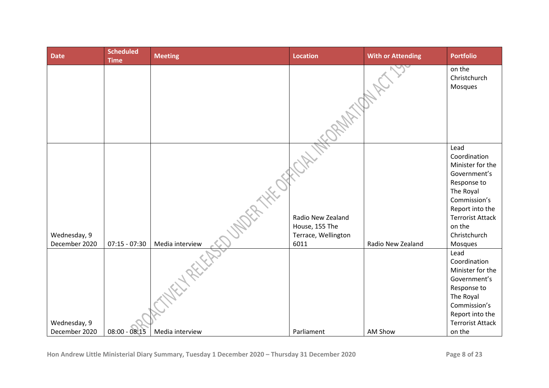| <b>Date</b>                   | <b>Scheduled</b><br><b>Time</b> | <b>Meeting</b>  | <b>Location</b>                                                    | <b>With or Attending</b> | <b>Portfolio</b>                                                                                                                                                                        |
|-------------------------------|---------------------------------|-----------------|--------------------------------------------------------------------|--------------------------|-----------------------------------------------------------------------------------------------------------------------------------------------------------------------------------------|
|                               |                                 |                 |                                                                    |                          | on the<br>Christchurch<br>Mosques                                                                                                                                                       |
|                               |                                 |                 |                                                                    |                          |                                                                                                                                                                                         |
| Wednesday, 9<br>December 2020 | $07:15 - 07:30$                 | Media interview | Radio New Zealand<br>House, 155 The<br>Terrace, Wellington<br>6011 | Radio New Zealand        | Lead<br>Coordination<br>Minister for the<br>Government's<br>Response to<br>The Royal<br>Commission's<br>Report into the<br><b>Terrorist Attack</b><br>on the<br>Christchurch<br>Mosques |
| Wednesday, 9                  |                                 |                 |                                                                    |                          | Lead<br>Coordination<br>Minister for the<br>Government's<br>Response to<br>The Royal<br>Commission's<br>Report into the<br><b>Terrorist Attack</b>                                      |
| December 2020                 | $08:00 - 08:15$                 | Media interview | Parliament                                                         | AM Show                  | on the                                                                                                                                                                                  |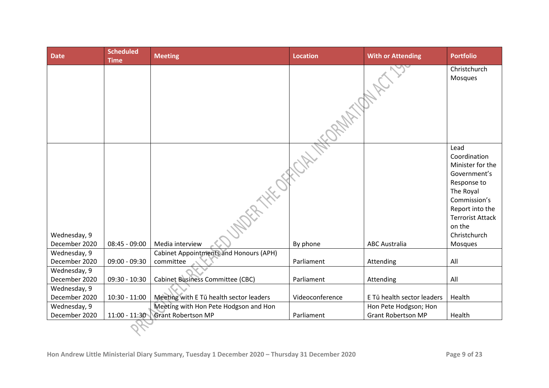| <b>Date</b>                   | <b>Scheduled</b><br><b>Time</b> | <b>Meeting</b>                                | <b>Location</b> | <b>With or Attending</b>   | <b>Portfolio</b>                                                                                                                                                                        |
|-------------------------------|---------------------------------|-----------------------------------------------|-----------------|----------------------------|-----------------------------------------------------------------------------------------------------------------------------------------------------------------------------------------|
|                               |                                 |                                               | 2NA TIME        |                            | Christchurch<br>Mosques                                                                                                                                                                 |
| Wednesday, 9<br>December 2020 | $08:45 - 09:00$                 | <b>DER HEATER</b><br>Media interview          | By phone        | <b>ABC Australia</b>       | Lead<br>Coordination<br>Minister for the<br>Government's<br>Response to<br>The Royal<br>Commission's<br>Report into the<br><b>Terrorist Attack</b><br>on the<br>Christchurch<br>Mosques |
| Wednesday, 9                  |                                 | <b>Cabinet Appointments and Honours (APH)</b> |                 |                            |                                                                                                                                                                                         |
| December 2020                 | $09:00 - 09:30$                 | committee                                     | Parliament      | Attending                  | All                                                                                                                                                                                     |
| Wednesday, 9                  |                                 |                                               |                 |                            |                                                                                                                                                                                         |
| December 2020                 | $09:30 - 10:30$                 | <b>Cabinet Business Committee (CBC)</b>       | Parliament      | Attending                  | All                                                                                                                                                                                     |
| Wednesday, 9                  |                                 |                                               |                 |                            |                                                                                                                                                                                         |
| December 2020                 | $10:30 - 11:00$                 | Meeting with E Tū health sector leaders       | Videoconference | E Tū health sector leaders | Health                                                                                                                                                                                  |
| Wednesday, 9                  |                                 | Meeting with Hon Pete Hodgson and Hon         |                 | Hon Pete Hodgson; Hon      |                                                                                                                                                                                         |
| December 2020                 | $11:00 - 11:30$                 | <b>Grant Robertson MP</b>                     | Parliament      | <b>Grant Robertson MP</b>  | Health                                                                                                                                                                                  |
|                               |                                 |                                               |                 |                            |                                                                                                                                                                                         |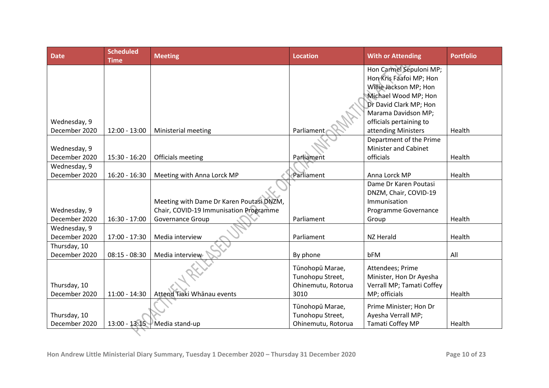| <b>Date</b>   | <b>Scheduled</b><br><b>Time</b> | <b>Meeting</b>                           | <b>Location</b>    | <b>With or Attending</b>                               | <b>Portfolio</b> |
|---------------|---------------------------------|------------------------------------------|--------------------|--------------------------------------------------------|------------------|
|               |                                 |                                          |                    | Hon Carmel Sepuloni MP;                                |                  |
|               |                                 |                                          |                    | Hon Kris Faafoi MP; Hon                                |                  |
|               |                                 |                                          |                    | Willie Jackson MP; Hon                                 |                  |
|               |                                 |                                          |                    | Michael Wood MP; Hon                                   |                  |
|               |                                 |                                          |                    | Dr David Clark MP; Hon                                 |                  |
|               |                                 |                                          |                    | Marama Davidson MP;                                    |                  |
| Wednesday, 9  |                                 |                                          |                    | officials pertaining to                                |                  |
| December 2020 | $12:00 - 13:00$                 | Ministerial meeting                      | Parliament         | attending Ministers                                    | Health           |
| Wednesday, 9  |                                 |                                          |                    | Department of the Prime<br><b>Minister and Cabinet</b> |                  |
| December 2020 | 15:30 - 16:20                   | Officials meeting                        | Parliament         | officials                                              | Health           |
| Wednesday, 9  |                                 |                                          |                    |                                                        |                  |
| December 2020 | $16:20 - 16:30$                 | Meeting with Anna Lorck MP               | Parliament         | Anna Lorck MP                                          | Health           |
|               |                                 |                                          |                    | Dame Dr Karen Poutasi                                  |                  |
|               |                                 |                                          |                    | DNZM, Chair, COVID-19                                  |                  |
|               |                                 | Meeting with Dame Dr Karen Poutasi DNZM, |                    | Immunisation                                           |                  |
| Wednesday, 9  |                                 | Chair, COVID-19 Immunisation Programme   |                    | Programme Governance                                   |                  |
| December 2020 | $16:30 - 17:00$                 | Governance Group                         | Parliament         | Group                                                  | Health           |
| Wednesday, 9  |                                 |                                          |                    |                                                        |                  |
| December 2020 | 17:00 - 17:30                   | Media interview                          | Parliament         | NZ Herald                                              | Health           |
| Thursday, 10  |                                 |                                          |                    |                                                        |                  |
| December 2020 | $08:15 - 08:30$                 | Media interview                          | By phone           | bFM                                                    | All              |
|               |                                 |                                          | Tūnohopū Marae,    | Attendees; Prime                                       |                  |
|               |                                 |                                          | Tunohopu Street,   | Minister, Hon Dr Ayesha                                |                  |
| Thursday, 10  |                                 |                                          | Ohinemutu, Rotorua | Verrall MP; Tamati Coffey                              |                  |
| December 2020 | $11:00 - 14:30$                 | Attend Tiaki Whanau events               | 3010               | MP; officials                                          | Health           |
|               |                                 |                                          | Tūnohopū Marae,    | Prime Minister; Hon Dr                                 |                  |
| Thursday, 10  |                                 |                                          | Tunohopu Street,   | Ayesha Verrall MP;                                     |                  |
| December 2020 | $13:00 - 13:15$                 | Media stand-up                           | Ohinemutu, Rotorua | Tamati Coffey MP                                       | Health           |
|               |                                 |                                          |                    |                                                        |                  |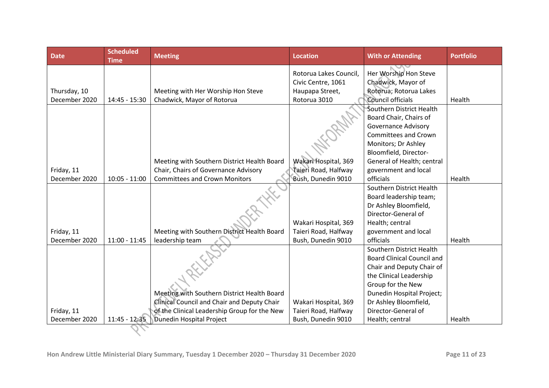| <b>Date</b>   | <b>Scheduled</b><br><b>Time</b> | <b>Meeting</b>                               | <b>Location</b>        | <b>With or Attending</b>          | <b>Portfolio</b> |
|---------------|---------------------------------|----------------------------------------------|------------------------|-----------------------------------|------------------|
|               |                                 |                                              | Rotorua Lakes Council, | Her Worship Hon Steve             |                  |
|               |                                 |                                              | Civic Centre, 1061     | Chadwick, Mayor of                |                  |
| Thursday, 10  |                                 | Meeting with Her Worship Hon Steve           | Haupapa Street,        | Rotorua; Rotorua Lakes            |                  |
| December 2020 | 14:45 - 15:30                   | Chadwick, Mayor of Rotorua                   | Rotorua 3010           | Council officials                 | Health           |
|               |                                 |                                              |                        | Southern District Health          |                  |
|               |                                 |                                              |                        | Board Chair, Chairs of            |                  |
|               |                                 |                                              |                        | <b>Governance Advisory</b>        |                  |
|               |                                 |                                              |                        | Committees and Crown              |                  |
|               |                                 |                                              |                        | Monitors; Dr Ashley               |                  |
|               |                                 |                                              |                        | Bloomfield, Director-             |                  |
|               |                                 | Meeting with Southern District Health Board  | Wakari Hospital, 369   | General of Health; central        |                  |
| Friday, 11    |                                 | Chair, Chairs of Governance Advisory         | Taieri Road, Halfway   | government and local              |                  |
| December 2020 | $10:05 - 11:00$                 | <b>Committees and Crown Monitors</b>         | Bush, Dunedin 9010     | officials                         | Health           |
|               |                                 |                                              |                        | Southern District Health          |                  |
|               |                                 |                                              |                        | Board leadership team;            |                  |
|               |                                 |                                              |                        | Dr Ashley Bloomfield,             |                  |
|               |                                 |                                              |                        | Director-General of               |                  |
|               |                                 |                                              | Wakari Hospital, 369   | Health; central                   |                  |
| Friday, 11    |                                 | Meeting with Southern District Health Board  | Taieri Road, Halfway   | government and local              |                  |
| December 2020 | $11:00 - 11:45$                 | leadership team                              | Bush, Dunedin 9010     | officials                         | Health           |
|               |                                 |                                              |                        | Southern District Health          |                  |
|               |                                 |                                              |                        | <b>Board Clinical Council and</b> |                  |
|               |                                 |                                              |                        | Chair and Deputy Chair of         |                  |
|               |                                 |                                              |                        | the Clinical Leadership           |                  |
|               |                                 |                                              |                        | Group for the New                 |                  |
|               |                                 | Meeting with Southern District Health Board  |                        | Dunedin Hospital Project;         |                  |
|               |                                 | Clinical Council and Chair and Deputy Chair  | Wakari Hospital, 369   | Dr Ashley Bloomfield,             |                  |
| Friday, 11    |                                 | of the Clinical Leadership Group for the New | Taieri Road, Halfway   | Director-General of               |                  |
| December 2020 | $11:45 - 12:35$                 | Dunedin Hospital Project                     | Bush, Dunedin 9010     | Health; central                   | Health           |
|               |                                 |                                              |                        |                                   |                  |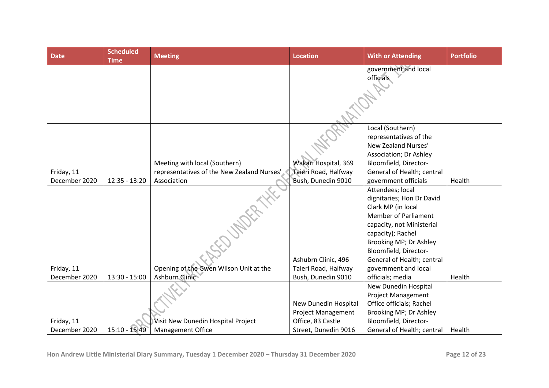| <b>Date</b>                 | <b>Scheduled</b><br><b>Time</b> | <b>Meeting</b>                                                 | <b>Location</b>                                   | <b>With or Attending</b>                                                                                                                                                                                                                                      | <b>Portfolio</b> |
|-----------------------------|---------------------------------|----------------------------------------------------------------|---------------------------------------------------|---------------------------------------------------------------------------------------------------------------------------------------------------------------------------------------------------------------------------------------------------------------|------------------|
|                             |                                 |                                                                |                                                   | government and local<br>officials                                                                                                                                                                                                                             |                  |
|                             |                                 | Meeting with local (Southern)                                  | Wakari Hospital, 369                              | Local (Southern)<br>representatives of the<br>New Zealand Nurses'<br>Association; Dr Ashley<br>Bloomfield, Director-                                                                                                                                          |                  |
| Friday, 11<br>December 2020 | $12:35 - 13:20$                 | representatives of the New Zealand Nurses'<br>Association      | Taieri Road, Halfway<br>Bush, Dunedin 9010        | General of Health; central<br>government officials                                                                                                                                                                                                            | Health           |
| Friday, 11                  |                                 | Opening of the Gwen Wilson Unit at the                         | Ashubrn Clinic, 496<br>Taieri Road, Halfway       | Attendees; local<br>dignitaries; Hon Dr David<br>Clark MP (in local<br><b>Member of Parliament</b><br>capacity, not Ministerial<br>capacity); Rachel<br>Brooking MP; Dr Ashley<br>Bloomfield, Director-<br>General of Health; central<br>government and local |                  |
| December 2020               | $13:30 - 15:00$                 | Ashburn Clinic                                                 | Bush, Dunedin 9010                                | officials; media                                                                                                                                                                                                                                              | Health           |
|                             |                                 |                                                                | New Dunedin Hospital<br><b>Project Management</b> | New Dunedin Hospital<br><b>Project Management</b><br>Office officials; Rachel<br>Brooking MP; Dr Ashley                                                                                                                                                       |                  |
| Friday, 11<br>December 2020 | 15:10 - 15:40                   | Visit New Dunedin Hospital Project<br><b>Management Office</b> | Office, 83 Castle<br>Street, Dunedin 9016         | Bloomfield, Director-<br>General of Health; central                                                                                                                                                                                                           | Health           |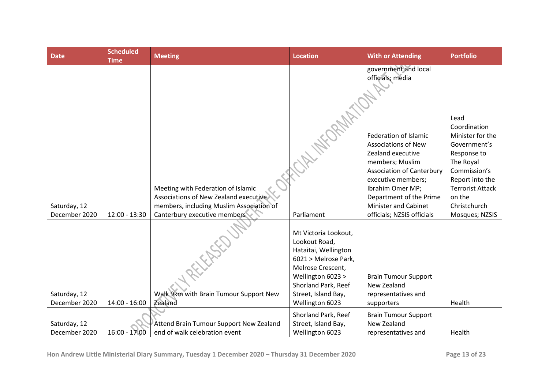| <b>Date</b>                   | <b>Scheduled</b><br><b>Time</b> | <b>Meeting</b>                                                                                                          | <b>Location</b>                                                                                                                                                               | <b>With or Attending</b>                                                                                                                                                                                                            | <b>Portfolio</b>                                                                                                                                                             |
|-------------------------------|---------------------------------|-------------------------------------------------------------------------------------------------------------------------|-------------------------------------------------------------------------------------------------------------------------------------------------------------------------------|-------------------------------------------------------------------------------------------------------------------------------------------------------------------------------------------------------------------------------------|------------------------------------------------------------------------------------------------------------------------------------------------------------------------------|
|                               |                                 |                                                                                                                         |                                                                                                                                                                               | government and local<br>officials; media                                                                                                                                                                                            |                                                                                                                                                                              |
| Saturday, 12                  |                                 | Meeting with Federation of Islamic<br>Associations of New Zealand executive<br>members, including Muslim Association of |                                                                                                                                                                               | Federation of Islamic<br><b>Associations of New</b><br>Zealand executive<br>members; Muslim<br><b>Association of Canterbury</b><br>executive members;<br>Ibrahim Omer MP;<br>Department of the Prime<br><b>Minister and Cabinet</b> | Lead<br>Coordination<br>Minister for the<br>Government's<br>Response to<br>The Royal<br>Commission's<br>Report into the<br><b>Terrorist Attack</b><br>on the<br>Christchurch |
| December 2020                 | $12:00 - 13:30$                 | Canterbury executive members                                                                                            | Parliament                                                                                                                                                                    | officials; NZSIS officials                                                                                                                                                                                                          | Mosques; NZSIS                                                                                                                                                               |
| Saturday, 12                  |                                 | Walk 9km with Brain Tumour Support New                                                                                  | Mt Victoria Lookout,<br>Lookout Road,<br>Hataitai, Wellington<br>6021 > Melrose Park,<br>Melrose Crescent,<br>Wellington 6023 ><br>Shorland Park, Reef<br>Street, Island Bay, | <b>Brain Tumour Support</b><br>New Zealand<br>representatives and                                                                                                                                                                   |                                                                                                                                                                              |
| December 2020                 | $14:00 - 16:00$                 | Zealand                                                                                                                 | Wellington 6023                                                                                                                                                               | supporters                                                                                                                                                                                                                          | Health                                                                                                                                                                       |
| Saturday, 12<br>December 2020 | $16:00 - 17:00$                 | Attend Brain Tumour Support New Zealand<br>end of walk celebration event                                                | Shorland Park, Reef<br>Street, Island Bay,<br>Wellington 6023                                                                                                                 | <b>Brain Tumour Support</b><br>New Zealand<br>representatives and                                                                                                                                                                   | Health                                                                                                                                                                       |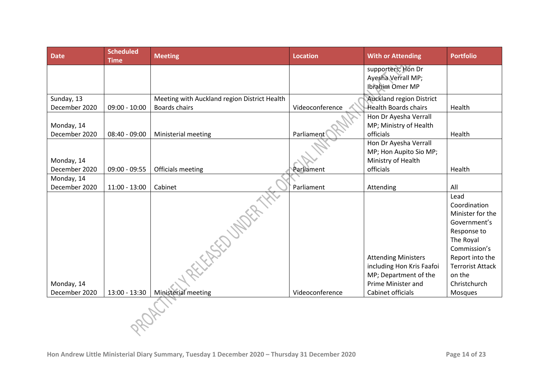| <b>Date</b>                 | <b>Scheduled</b><br><b>Time</b> | <b>Meeting</b>                                                | <b>Location</b> | <b>With or Attending</b>                                                                                                    | <b>Portfolio</b>                                                                                                                                                                        |
|-----------------------------|---------------------------------|---------------------------------------------------------------|-----------------|-----------------------------------------------------------------------------------------------------------------------------|-----------------------------------------------------------------------------------------------------------------------------------------------------------------------------------------|
|                             |                                 |                                                               |                 | supporters; Hon Dr                                                                                                          |                                                                                                                                                                                         |
|                             |                                 |                                                               |                 | Ayesha Verrall MP;<br>Ibrahim Omer MP                                                                                       |                                                                                                                                                                                         |
|                             |                                 |                                                               |                 |                                                                                                                             |                                                                                                                                                                                         |
| Sunday, 13                  |                                 | Meeting with Auckland region District Health<br>Boards chairs | Videoconference | <b>Auckland region District</b><br><b>Health Boards chairs</b>                                                              | Health                                                                                                                                                                                  |
| December 2020               | $09:00 - 10:00$                 |                                                               |                 | Hon Dr Ayesha Verrall                                                                                                       |                                                                                                                                                                                         |
| Monday, 14                  |                                 |                                                               |                 | MP; Ministry of Health                                                                                                      |                                                                                                                                                                                         |
| December 2020               | $08:40 - 09:00$                 | Ministerial meeting                                           | Parliament      | officials                                                                                                                   | Health                                                                                                                                                                                  |
|                             |                                 |                                                               |                 | Hon Dr Ayesha Verrall                                                                                                       |                                                                                                                                                                                         |
|                             |                                 |                                                               |                 | MP; Hon Aupito Sio MP;                                                                                                      |                                                                                                                                                                                         |
| Monday, 14                  |                                 |                                                               |                 | Ministry of Health                                                                                                          |                                                                                                                                                                                         |
| December 2020               | $09:00 - 09:55$                 | Officials meeting                                             | Parliament      | officials                                                                                                                   | Health                                                                                                                                                                                  |
| Monday, 14<br>December 2020 | $11:00 - 13:00$                 | Cabinet                                                       | Parliament      | Attending                                                                                                                   | All                                                                                                                                                                                     |
| Monday, 14<br>December 2020 | 13:00 - 13:30                   | REFERED UNDER 1<br>Ministerial meeting                        | Videoconference | <b>Attending Ministers</b><br>including Hon Kris Faafoi<br>MP; Department of the<br>Prime Minister and<br>Cabinet officials | Lead<br>Coordination<br>Minister for the<br>Government's<br>Response to<br>The Royal<br>Commission's<br>Report into the<br><b>Terrorist Attack</b><br>on the<br>Christchurch<br>Mosques |
|                             |                                 |                                                               |                 |                                                                                                                             |                                                                                                                                                                                         |
|                             |                                 |                                                               |                 |                                                                                                                             |                                                                                                                                                                                         |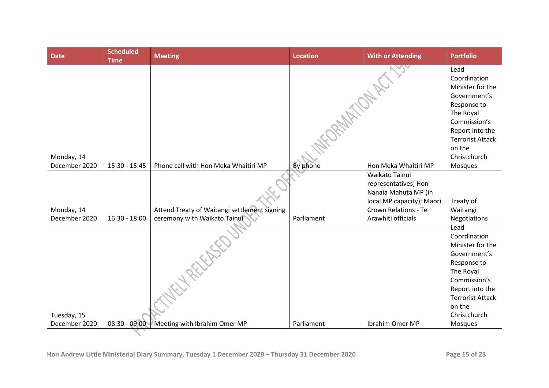| <b>Date</b>   | <b>Scheduled</b><br><b>Time</b> | <b>Meeting</b>                               | <b>Location</b> | <b>With or Attending</b>                                       | <b>Portfolio</b>                                                                                                                                                             |
|---------------|---------------------------------|----------------------------------------------|-----------------|----------------------------------------------------------------|------------------------------------------------------------------------------------------------------------------------------------------------------------------------------|
|               |                                 |                                              |                 |                                                                | Lead<br>Coordination<br>Minister for the<br>Government's<br>Response to<br>The Royal<br>Commission's<br>Report into the<br><b>Terrorist Attack</b><br>on the                 |
| Monday, 14    |                                 |                                              |                 |                                                                | Christchurch                                                                                                                                                                 |
| December 2020 | 15:30 - 15:45                   | Phone call with Hon Meka Whaitiri MP         | By phone        | Hon Meka Whaitiri MP                                           | Mosques                                                                                                                                                                      |
|               |                                 |                                              |                 | Waikato Tainui<br>representatives; Hon<br>Nanaia Mahuta MP (in |                                                                                                                                                                              |
|               |                                 |                                              |                 | local MP capacity); Māori                                      | Treaty of                                                                                                                                                                    |
| Monday, 14    |                                 | Attend Treaty of Waitangi settlement signing |                 | <b>Crown Relations - Te</b>                                    | Waitangi                                                                                                                                                                     |
| December 2020 | $16:30 - 18:00$                 | ceremony with Waikato Tainui                 | Parliament      | Arawhiti officials                                             | Negotiations                                                                                                                                                                 |
| Tuesday, 15   |                                 | HREEFEREE                                    |                 |                                                                | Lead<br>Coordination<br>Minister for the<br>Government's<br>Response to<br>The Royal<br>Commission's<br>Report into the<br><b>Terrorist Attack</b><br>on the<br>Christchurch |
| December 2020 | $08:30 - 09:00$                 | Meeting with Ibrahim Omer MP                 | Parliament      | Ibrahim Omer MP                                                | Mosques                                                                                                                                                                      |
|               |                                 |                                              |                 |                                                                |                                                                                                                                                                              |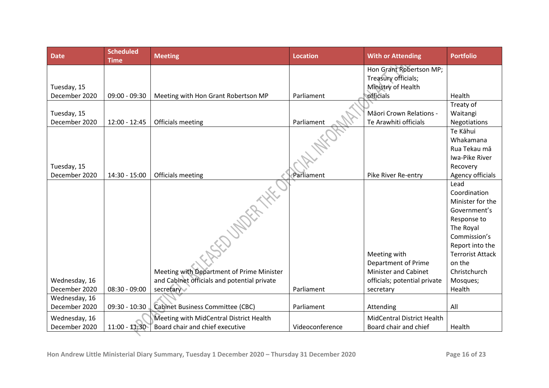| <b>Date</b>                  | <b>Scheduled</b><br><b>Time</b> | <b>Meeting</b>                              | <b>Location</b> | <b>With or Attending</b>            | <b>Portfolio</b>                           |
|------------------------------|---------------------------------|---------------------------------------------|-----------------|-------------------------------------|--------------------------------------------|
|                              |                                 |                                             |                 | Hon Grant Robertson MP;             |                                            |
|                              |                                 |                                             |                 | Treasury officials;                 |                                            |
| Tuesday, 15                  |                                 |                                             |                 | Ministry of Health                  |                                            |
| December 2020                | $09:00 - 09:30$                 | Meeting with Hon Grant Robertson MP         | Parliament      | officials                           | Health                                     |
|                              |                                 |                                             |                 | Māori Crown Relations -             | Treaty of                                  |
| Tuesday, 15<br>December 2020 | $12:00 - 12:45$                 | Officials meeting                           | Parliament      | Te Arawhiti officials               | Waitangi<br>Negotiations                   |
|                              |                                 |                                             |                 |                                     | Te Kāhui                                   |
|                              |                                 |                                             |                 |                                     | Whakamana                                  |
|                              |                                 |                                             |                 |                                     | Rua Tekau mā                               |
|                              |                                 |                                             |                 |                                     | Iwa-Pike River                             |
| Tuesday, 15                  |                                 |                                             |                 |                                     | Recovery                                   |
| December 2020                | 14:30 - 15:00                   | Officials meeting                           | Parliament      | Pike River Re-entry                 | Agency officials                           |
|                              |                                 | <b>SEDUMBRAHEL</b>                          |                 |                                     | Lead                                       |
|                              |                                 |                                             |                 |                                     | Coordination                               |
|                              |                                 |                                             |                 |                                     | Minister for the                           |
|                              |                                 |                                             |                 |                                     | Government's                               |
|                              |                                 |                                             |                 |                                     | Response to                                |
|                              |                                 |                                             |                 |                                     | The Royal                                  |
|                              |                                 |                                             |                 |                                     | Commission's                               |
|                              |                                 |                                             |                 |                                     | Report into the<br><b>Terrorist Attack</b> |
|                              |                                 |                                             |                 | Meeting with<br>Department of Prime | on the                                     |
|                              |                                 | Meeting with Department of Prime Minister   |                 | <b>Minister and Cabinet</b>         | Christchurch                               |
| Wednesday, 16                |                                 | and Cabinet officials and potential private |                 | officials; potential private        | Mosques;                                   |
| December 2020                | $08:30 - 09:00$                 | secretary                                   | Parliament      | secretary                           | Health                                     |
| Wednesday, 16                |                                 |                                             |                 |                                     |                                            |
| December 2020                | $09:30 - 10:30$                 | Cabinet Business Committee (CBC)            | Parliament      | Attending                           | All                                        |
| Wednesday, 16                |                                 | Meeting with MidCentral District Health     |                 | <b>MidCentral District Health</b>   |                                            |
| December 2020                | $11:00 - 11:30$                 | Board chair and chief executive             | Videoconference | Board chair and chief               | Health                                     |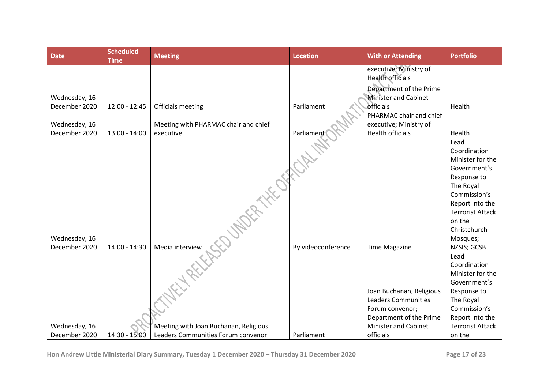| <b>Date</b>   | <b>Scheduled</b><br><b>Time</b> | <b>Meeting</b>                        | <b>Location</b>    | <b>With or Attending</b>    | <b>Portfolio</b>         |
|---------------|---------------------------------|---------------------------------------|--------------------|-----------------------------|--------------------------|
|               |                                 |                                       |                    | executive; Ministry of      |                          |
|               |                                 |                                       |                    | <b>Health officials</b>     |                          |
|               |                                 |                                       |                    | Department of the Prime     |                          |
| Wednesday, 16 |                                 |                                       |                    | <b>Minister and Cabinet</b> |                          |
| December 2020 | $12:00 - 12:45$                 | Officials meeting                     | Parliament         | officials                   | Health                   |
|               |                                 |                                       |                    | PHARMAC chair and chief     |                          |
| Wednesday, 16 |                                 | Meeting with PHARMAC chair and chief  |                    | executive; Ministry of      |                          |
| December 2020 | $13:00 - 14:00$                 | executive                             | Parliament         | <b>Health officials</b>     | Health                   |
|               |                                 |                                       |                    |                             | Lead                     |
|               |                                 |                                       |                    |                             | Coordination             |
|               |                                 |                                       |                    |                             | Minister for the         |
|               |                                 |                                       |                    |                             | Government's             |
|               |                                 |                                       |                    |                             | Response to<br>The Royal |
|               |                                 |                                       |                    |                             | Commission's             |
|               |                                 |                                       |                    |                             | Report into the          |
|               |                                 | <b>UNDER THE OFF</b>                  |                    |                             | <b>Terrorist Attack</b>  |
|               |                                 |                                       |                    |                             | on the                   |
|               |                                 |                                       |                    |                             | Christchurch             |
| Wednesday, 16 |                                 |                                       |                    |                             | Mosques;                 |
| December 2020 | 14:00 - 14:30                   | Media interview                       | By videoconference | <b>Time Magazine</b>        | NZSIS; GCSB              |
|               |                                 |                                       |                    |                             | Lead                     |
|               |                                 |                                       |                    |                             | Coordination             |
|               |                                 |                                       |                    |                             | Minister for the         |
|               |                                 |                                       |                    |                             | Government's             |
|               |                                 |                                       |                    | Joan Buchanan, Religious    | Response to              |
|               |                                 |                                       |                    | <b>Leaders Communities</b>  | The Royal                |
|               |                                 |                                       |                    | Forum convenor;             | Commission's             |
|               |                                 |                                       |                    | Department of the Prime     | Report into the          |
| Wednesday, 16 |                                 | Meeting with Joan Buchanan, Religious |                    | <b>Minister and Cabinet</b> | <b>Terrorist Attack</b>  |
| December 2020 | 14:30 - 15:00                   | Leaders Communities Forum convenor    | Parliament         | officials                   | on the                   |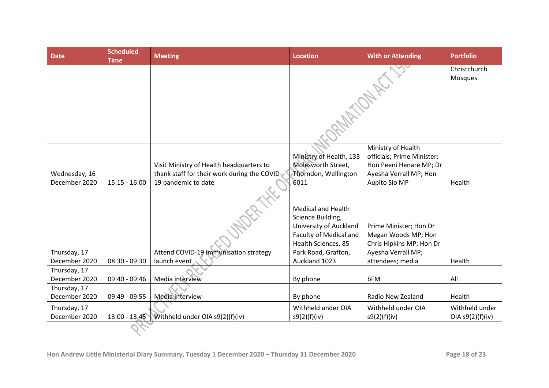| <b>Date</b>                    | <b>Scheduled</b><br><b>Time</b> | <b>Meeting</b>                                                                                                  | <b>Location</b>                                                                                                                  | <b>With or Attending</b>                                                                                               | <b>Portfolio</b>                   |
|--------------------------------|---------------------------------|-----------------------------------------------------------------------------------------------------------------|----------------------------------------------------------------------------------------------------------------------------------|------------------------------------------------------------------------------------------------------------------------|------------------------------------|
|                                |                                 |                                                                                                                 | M. M. A.                                                                                                                         |                                                                                                                        | Christchurch<br>Mosques            |
|                                |                                 |                                                                                                                 |                                                                                                                                  |                                                                                                                        |                                    |
| Wednesday, 16<br>December 2020 | $15:15 - 16:00$                 | Visit Ministry of Health headquarters to<br>thank staff for their work during the COVID-<br>19 pandemic to date | Ministry of Health, 133<br>Molesworth Street,<br>Thorndon, Wellington<br>6011                                                    | Ministry of Health<br>officials; Prime Minister;<br>Hon Peeni Henare MP; Dr<br>Ayesha Verrall MP; Hon<br>Aupito Sio MP | Health                             |
|                                |                                 |                                                                                                                 | <b>Medical and Health</b><br>Science Building,<br><b>University of Auckland</b><br>Faculty of Medical and<br>Health Sciences, 85 | Prime Minister; Hon Dr<br>Megan Woods MP; Hon<br>Chris Hipkins MP; Hon Dr                                              |                                    |
| Thursday, 17<br>December 2020  | $08:30 - 09:30$                 | Attend COVID-19 immunisation strategy<br>launch event                                                           | Park Road, Grafton,<br>Auckland 1023                                                                                             | Ayesha Verrall MP;<br>attendees; media                                                                                 | Health                             |
| Thursday, 17<br>December 2020  | 09:40 - 09:46                   | Media interview                                                                                                 | By phone                                                                                                                         | bFM                                                                                                                    | All                                |
| Thursday, 17<br>December 2020  | 09:49 - 09:55                   | Media interview                                                                                                 | By phone                                                                                                                         | Radio New Zealand                                                                                                      | Health                             |
| Thursday, 17<br>December 2020  | $13:00 - 13:45$                 | Withheld under OIA s9(2)(f)(iv)                                                                                 | Withheld under OIA<br>s9(2)(f)(iv)                                                                                               | Withheld under OIA<br>s9(2)(f)(iv)                                                                                     | Withheld under<br>OIA s9(2)(f)(iv) |
|                                |                                 |                                                                                                                 |                                                                                                                                  |                                                                                                                        |                                    |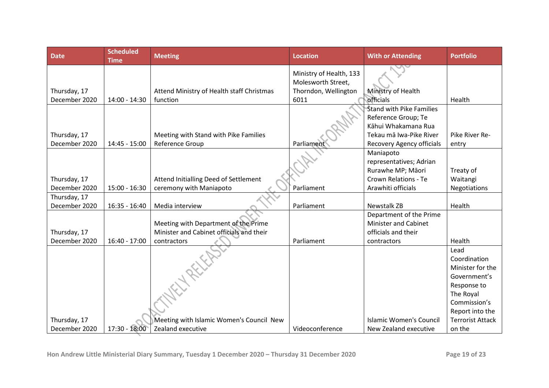| <b>Date</b>   | <b>Scheduled</b><br><b>Time</b> | <b>Meeting</b>                            | <b>Location</b>         | <b>With or Attending</b>        | <b>Portfolio</b>        |
|---------------|---------------------------------|-------------------------------------------|-------------------------|---------------------------------|-------------------------|
|               |                                 |                                           | Ministry of Health, 133 |                                 |                         |
|               |                                 |                                           | Molesworth Street,      |                                 |                         |
| Thursday, 17  |                                 | Attend Ministry of Health staff Christmas | Thorndon, Wellington    | Ministry of Health              |                         |
| December 2020 | 14:00 - 14:30                   | function                                  | 6011                    | officials                       | Health                  |
|               |                                 |                                           |                         | <b>Stand with Pike Families</b> |                         |
|               |                                 |                                           |                         | Reference Group; Te             |                         |
|               |                                 |                                           |                         | Kāhui Whakamana Rua             |                         |
| Thursday, 17  |                                 | Meeting with Stand with Pike Families     |                         | Tekau mā Iwa-Pike River         | Pike River Re-          |
| December 2020 | 14:45 - 15:00                   | Reference Group                           | Parliament              | Recovery Agency officials       | entry                   |
|               |                                 |                                           |                         | Maniapoto                       |                         |
|               |                                 |                                           |                         | representatives; Adrian         |                         |
|               |                                 |                                           |                         | Rurawhe MP; Māori               | Treaty of               |
| Thursday, 17  |                                 | Attend Initialling Deed of Settlement     |                         | <b>Crown Relations - Te</b>     | Waitangi                |
| December 2020 | $15:00 - 16:30$                 | ceremony with Maniapoto                   | Parliament              | Arawhiti officials              | <b>Negotiations</b>     |
| Thursday, 17  |                                 |                                           |                         |                                 |                         |
| December 2020 | $16:35 - 16:40$                 | Media interview                           | Parliament              | <b>Newstalk ZB</b>              | Health                  |
|               |                                 |                                           |                         | Department of the Prime         |                         |
|               |                                 | Meeting with Department of the Prime      |                         | <b>Minister and Cabinet</b>     |                         |
| Thursday, 17  |                                 | Minister and Cabinet officials and their  |                         | officials and their             |                         |
| December 2020 | $16:40 - 17:00$                 | contractors                               | Parliament              | contractors                     | Health                  |
|               |                                 | FLARIFF                                   |                         |                                 | Lead                    |
|               |                                 |                                           |                         |                                 | Coordination            |
|               |                                 |                                           |                         |                                 | Minister for the        |
|               |                                 |                                           |                         |                                 | Government's            |
|               |                                 |                                           |                         |                                 | Response to             |
|               |                                 |                                           |                         |                                 | The Royal               |
|               |                                 |                                           |                         |                                 | Commission's            |
|               |                                 |                                           |                         |                                 | Report into the         |
| Thursday, 17  |                                 | Meeting with Islamic Women's Council New  |                         | Islamic Women's Council         | <b>Terrorist Attack</b> |
| December 2020 | 17:30 - 18:00                   | Zealand executive                         | Videoconference         | New Zealand executive           | on the                  |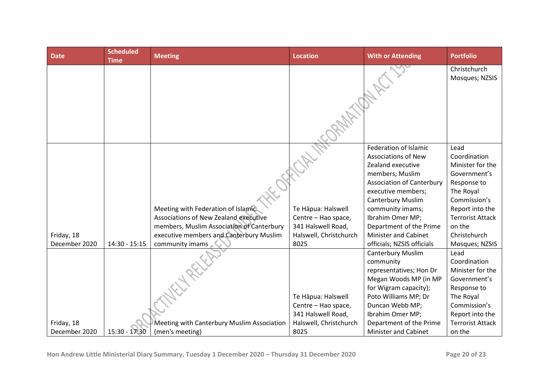| <b>Date</b>   | <b>Scheduled</b><br><b>Time</b> | <b>Meeting</b>                             | <b>Location</b>                           | <b>With or Attending</b>                               | <b>Portfolio</b>               |
|---------------|---------------------------------|--------------------------------------------|-------------------------------------------|--------------------------------------------------------|--------------------------------|
|               |                                 |                                            |                                           |                                                        | Christchurch<br>Mosques; NZSIS |
|               |                                 |                                            |                                           |                                                        |                                |
|               |                                 |                                            |                                           | Federation of Islamic                                  | Lead                           |
|               |                                 |                                            |                                           | <b>Associations of New</b>                             | Coordination                   |
|               |                                 |                                            |                                           | Zealand executive                                      | Minister for the               |
|               |                                 |                                            |                                           | members; Muslim                                        | Government's                   |
|               |                                 |                                            |                                           | <b>Association of Canterbury</b><br>executive members; | Response to<br>The Royal       |
|               |                                 |                                            |                                           | <b>Canterbury Muslim</b>                               | Commission's                   |
|               |                                 | Meeting with Federation of Islamic.        |                                           |                                                        | Report into the                |
|               |                                 | Associations of New Zealand executive      | Te Hāpua: Halswell<br>Centre - Hao space, | community imams;<br>Ibrahim Omer MP;                   | <b>Terrorist Attack</b>        |
|               |                                 | members, Muslim Association of Canterbury  | 341 Halswell Road,                        | Department of the Prime                                | on the                         |
| Friday, 18    |                                 | executive members and Canterbury Muslim    | Halswell, Christchurch                    | <b>Minister and Cabinet</b>                            | Christchurch                   |
| December 2020 | $14:30 - 15:15$                 | community imams                            | 8025                                      | officials; NZSIS officials                             | Mosques; NZSIS                 |
|               |                                 |                                            |                                           | <b>Canterbury Muslim</b>                               | Lead                           |
|               |                                 |                                            |                                           | community                                              | Coordination                   |
|               |                                 |                                            |                                           | representatives; Hon Dr                                | Minister for the               |
|               |                                 |                                            |                                           | Megan Woods MP (in MP                                  | Government's                   |
|               |                                 |                                            |                                           | for Wigram capacity);                                  | Response to                    |
|               |                                 |                                            | Te Hāpua: Halswell                        | Poto Williams MP; Dr                                   | The Royal                      |
|               |                                 |                                            | Centre - Hao space,                       | Duncan Webb MP;                                        | Commission's                   |
|               |                                 |                                            | 341 Halswell Road,                        | Ibrahim Omer MP;                                       | Report into the                |
| Friday, 18    |                                 | Meeting with Canterbury Muslim Association | Halswell, Christchurch                    | Department of the Prime                                | <b>Terrorist Attack</b>        |
| December 2020 | $15:30 - 17:30$                 | (men's meeting)                            | 8025                                      | <b>Minister and Cabinet</b>                            | on the                         |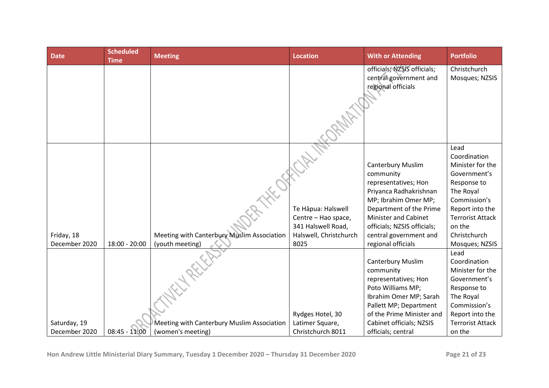| <b>Date</b>                 | <b>Scheduled</b><br><b>Time</b> | <b>Meeting</b>                                                | <b>Location</b>                                                                                   | <b>With or Attending</b>                                                                                                                                                                                                                                 | <b>Portfolio</b>                                                                                                                                                                               |
|-----------------------------|---------------------------------|---------------------------------------------------------------|---------------------------------------------------------------------------------------------------|----------------------------------------------------------------------------------------------------------------------------------------------------------------------------------------------------------------------------------------------------------|------------------------------------------------------------------------------------------------------------------------------------------------------------------------------------------------|
|                             |                                 |                                                               |                                                                                                   | officials; NZSIS officials;<br>central government and<br>regional officials                                                                                                                                                                              | Christchurch<br>Mosques; NZSIS                                                                                                                                                                 |
| Friday, 18<br>December 2020 | $18:00 - 20:00$                 | Meeting with Canterbury Muslim Association<br>(youth meeting) | Te Hāpua: Halswell<br>Centre - Hao space,<br>341 Halswell Road,<br>Halswell, Christchurch<br>8025 | <b>Canterbury Muslim</b><br>community<br>representatives; Hon<br>Priyanca Radhakrishnan<br>MP; Ibrahim Omer MP;<br>Department of the Prime<br><b>Minister and Cabinet</b><br>officials; NZSIS officials;<br>central government and<br>regional officials | Lead<br>Coordination<br>Minister for the<br>Government's<br>Response to<br>The Royal<br>Commission's<br>Report into the<br><b>Terrorist Attack</b><br>on the<br>Christchurch<br>Mosques; NZSIS |
| Saturday, 19                |                                 | Meeting with Canterbury Muslim Association                    | Rydges Hotel, 30<br>Latimer Square,                                                               | <b>Canterbury Muslim</b><br>community<br>representatives; Hon<br>Poto Williams MP;<br>Ibrahim Omer MP; Sarah<br>Pallett MP; Department<br>of the Prime Minister and<br>Cabinet officials; NZSIS                                                          | Lead<br>Coordination<br>Minister for the<br>Government's<br>Response to<br>The Royal<br>Commission's<br>Report into the<br><b>Terrorist Attack</b>                                             |
| December 2020               | $08:45 - 11:00$                 | (women's meeting)                                             | Christchurch 8011                                                                                 | officials; central                                                                                                                                                                                                                                       | on the                                                                                                                                                                                         |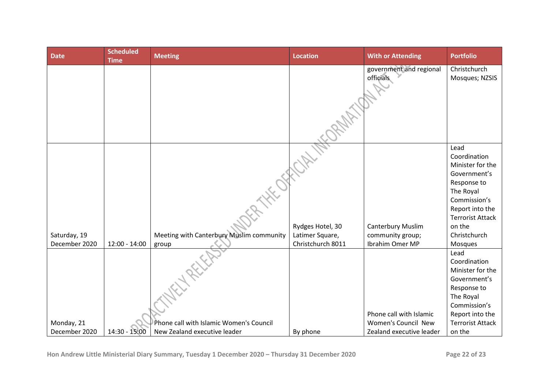| <b>Date</b>                   | <b>Scheduled</b><br><b>Time</b> | <b>Meeting</b>                                    | <b>Location</b>                                          | <b>With or Attending</b>                                        | <b>Portfolio</b>                                                                                                                                                                        |
|-------------------------------|---------------------------------|---------------------------------------------------|----------------------------------------------------------|-----------------------------------------------------------------|-----------------------------------------------------------------------------------------------------------------------------------------------------------------------------------------|
|                               |                                 |                                                   |                                                          | government and regional<br>officials                            | Christchurch<br>Mosques; NZSIS                                                                                                                                                          |
| Saturday, 19<br>December 2020 | $12:00 - 14:00$                 | Meeting with Canterbury Muslim community<br>group | Rydges Hotel, 30<br>Latimer Square,<br>Christchurch 8011 | <b>Canterbury Muslim</b><br>community group;<br>Ibrahim Omer MP | Lead<br>Coordination<br>Minister for the<br>Government's<br>Response to<br>The Royal<br>Commission's<br>Report into the<br><b>Terrorist Attack</b><br>on the<br>Christchurch<br>Mosques |
| Monday, 21                    |                                 | Phone call with Islamic Women's Council           |                                                          | Phone call with Islamic<br>Women's Council New                  | Lead<br>Coordination<br>Minister for the<br>Government's<br>Response to<br>The Royal<br>Commission's<br>Report into the<br><b>Terrorist Attack</b>                                      |
| December 2020                 | 14:30 - 15:00                   | New Zealand executive leader                      | By phone                                                 | Zealand executive leader                                        | on the                                                                                                                                                                                  |